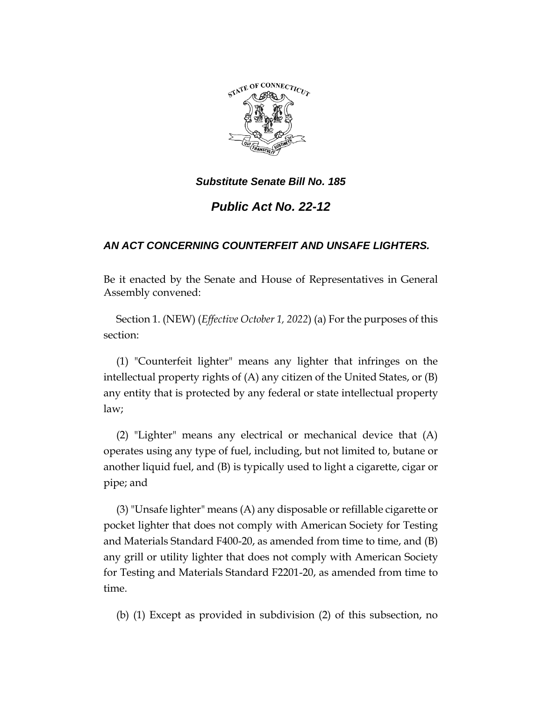

*Substitute Senate Bill No. 185*

*Public Act No. 22-12*

## *AN ACT CONCERNING COUNTERFEIT AND UNSAFE LIGHTERS.*

Be it enacted by the Senate and House of Representatives in General Assembly convened:

Section 1. (NEW) (*Effective October 1, 2022*) (a) For the purposes of this section:

(1) "Counterfeit lighter" means any lighter that infringes on the intellectual property rights of (A) any citizen of the United States, or (B) any entity that is protected by any federal or state intellectual property law;

(2) "Lighter" means any electrical or mechanical device that (A) operates using any type of fuel, including, but not limited to, butane or another liquid fuel, and (B) is typically used to light a cigarette, cigar or pipe; and

(3) "Unsafe lighter" means (A) any disposable or refillable cigarette or pocket lighter that does not comply with American Society for Testing and Materials Standard F400-20, as amended from time to time, and (B) any grill or utility lighter that does not comply with American Society for Testing and Materials Standard F2201-20, as amended from time to time.

(b) (1) Except as provided in subdivision (2) of this subsection, no